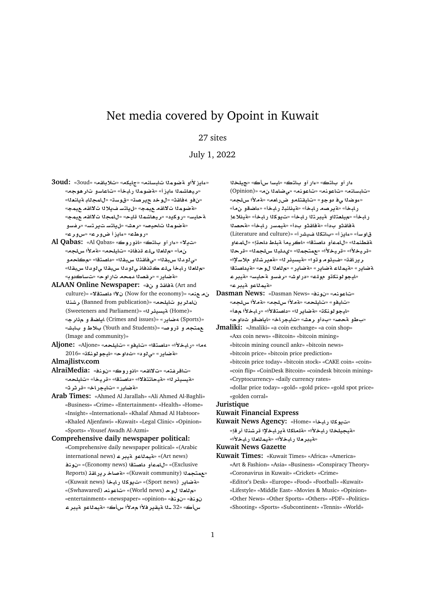# Net media covered by Opoint in Kuwait

# 27 sites

July 1, 2022

- **3oud:** «3oud» «**qA®**» «**kyA**» «**nAFbA mwRT ¤±E§Aº**» «<mark>ري</mark>هاشماا ءايزأ» «ةضوماا رابخأ» «تاعاسو تارهوجه» «من فو ه فاقث» «ل و خد ـح ير صن<sup>ي «</sup>قوسن<sup>ي»</sup> (لمجلاب ة يانعل<sup>ا</sup>» «**مقال الله و**هو هي الله عن المعدد» «ل و الله عن الله عن الله عن الله عن الله عن الله عن الله عن الله عن الله عن ا<br>« الله عن الله عن الله عن الله عن الله عن الله عن الله عن الله عن الله عن الله عن الله عن الله عن الله عن ةحليس» «روكيد» «ريهاشم**دا ةليح» «للمجدا ت**لالقه عيمج» «**¤ضوم**دا تاحيصه «رمشه «ليلتستيرتسه «رمسو «**روطء» «ءايزأ ضور ع» «سور ع**»
- **Al Qabas:** «Al Qabas» «**wC¤A**» «**tA ¤Cº**» «**¯§** » ن مـأ» «م للعلا يلـّ مّنـفان» «تايلحم» «ةملأا سلجم» **¤A**» «**tOA** » «**qbH qA¨**» «**qbH d¤¨**» «م للعلا ربابخأ ىله كتذفاذ ى لودلا س*بيقا*ا <sub>ك</sub>لودلا سبقله» «<mark>ةضاير» «ر قصنا دمحه تار او ح» «تساكدو</mark> به
- **ALAAN Online Newspaper:** « **¤ qAT** (Art and  $\text{cutture}$ )» «خفه» «(Now for the economy) **(Now for the economy nKr** (Banned from publication)» «**lyA ¤rmA**  (Sweeteners and Parliament)» «**r¶ysyT** (Home)» «(Sports) **مضاير**» «Crimes and issues) اياضة و مءًارجه مع متجه و قروصه «Youth and Students) بلاط و بابشه (Image and community)»
- **Aljone:** «Aljone» «**lyA**» «**¤yA**» «**tOA** » «**±bAC**» «**¢** 2016» «**knwwyA**» «**w** » « **¤¨**» «**C§ART**»

## **Almajlistv.com**

- **AlraiMedia:** «**nw** » «**wC¤A**» «**qA¯**» «**tfrA**» «**لايسيئر لل» «فيحاتتفلال» «داصتقل» «قريخ**اً» «تايلحم» «**تمادر» «تايجر اخ» «قر ثر ث**»
- **Arab Times:** «Ahmed Al Jarallah» «Ali Ahmed Al-Baghli» «Business» «Crime» «Entertainment» «Health» «Home» «Insight» «International» «Khalaf Ahmad Al Habtoor» «Khaled Aljenfawi» «Kuwait» «Legal Clinic» «Opinion» «Sports» «Yousef Awadh Al-Azmi»
- **Comprehensive daily newspaper political:** «Comprehensive daily newspaper political» «(Arabic international news) **«تيمناعو تيبرع** (international news **nw** » «(Economy news) **tOA ¤mA**» «(Exclusive Reports) **qAC§r A}T**» «(Kuwait community) **mtm**» «**Kuwait news) أمينو كذا ريابخا** (Kuwait news)» «**(Swhawared) «تاعونه** (World news)» «Swhawared) «entertainment» «newspaper» «opinion» «**nw** » «**nw**  سأك» «32 ـ1ا ةيقير فلأا م**ملأا سأك» «ةيمل**اعو ةيبر ع

ءار آو باټڪ» «ءار آو باټڪ» «ايسا سأڪ» «ڃيلخ**ن**ا (Opinion)» « **mAR¨**» «**nwA**» «**nwA**» «**nAFbA**» «<mark>عوضلل ي ف موج</mark>و» «تايقتلمو ضررامم» «ةملأا سلجم» ر ابخأ» «**قير صه ر ابخأ» «قينانب**ا ر ابخأ» «ءاضقو نαأ» ر.ابخأ» «ميلعتلاو ميبرتلا ر.ابخأ» «تيوكلا ر.ابخأ» «مينلاعإ قفاقثو بدأ» «**ةفاقثو بدأ» «ةيمسر رابخأ» «ةحص**لا قا**و** سأ» «عايز أ» «بـاتكـلا فــيشر أ» «(Literature and culture)  $\mathbf{a}$ ةقطنمـلا» «للمـعأو داصتقا» «اكريمـأ ةبلط داحـتاٍ» «للمـعاو **r**» «**mlH bld©**» «**mtm**» «**±yr**» «**±yr**» ر ير اقة» «فيتوم و توا» «ةيسيئر لل<sup>ه</sup> «ةميرشللو ملاسلإله **tOA §T**» «**w `A**» «**C§ART**» «**C§ART AmyT**» «**C§ART** «<mark>ليجو لونكڌو مول</mark>ك» «دراوش» «رف*سو* ةحليس» «ةيبر ع «**ت**سملاعه قدب ع»

**Dasman News:** «Dasman News» «**nw** » «**nwA**» «تامدفو» «تاملحه» «**قملأا سلحه» «قملأا س**لحه» «ايجو لو نك**ت» «ةضاير ل**ه» «داصتقلأا» «ر ابخلأا مها» «بطو م*حص*» «بدأو رم*ش*» «تايجراخ» «اياضقو ثداوح»

**Jmaliki:** «Jmaliki» «a coin exchange» «a coin shop» «Axs coin news» «Bitcoin» «bitcoin mining» «bitcoin mining council ankr» «bitcoin news» «bitcoin price» «bitcoin price prediction» «bitcoin price today» «bitcoin stock» «CAKE coin» «coin» «coin flip» «CoinDesk Bitcoin» «coindesk bitcoin mining» «Cryptocurrency» «daily currency rates» «dollar price today» «gold» «gold price» «gold spot price» «golden corral»

#### **Juristique**

## **Kuwait Financial Express**

Kuwait News Agency: «Home» «تيوكلا رابخا» «**لقيجيلخ**لا رـابخلأا» «قلملكلا قير ابخلإا قرشنلا أر قإ» «هيبر مثا رابخلاً» «قيمثلمثا رابخلاً»

#### **Kuwait News Gazette**

**Kuwait Times:** «Kuwait Times» «Africa» «America» «Art & Fashion» «Asia» «Business» «Conspiracy Theory» «Coronavirus in Kuwait» «Cricket» «Crime» «Editor's Desk» «Europe» «Food» «Football» «Kuwait» «Lifestyle» «Middle East» «Movies & Music» «Opinion» «Other News» «Other Sports» «Others» «PDF» «Politics» «Shooting» «Sports» «Subcontinent» «Tennis» «World»